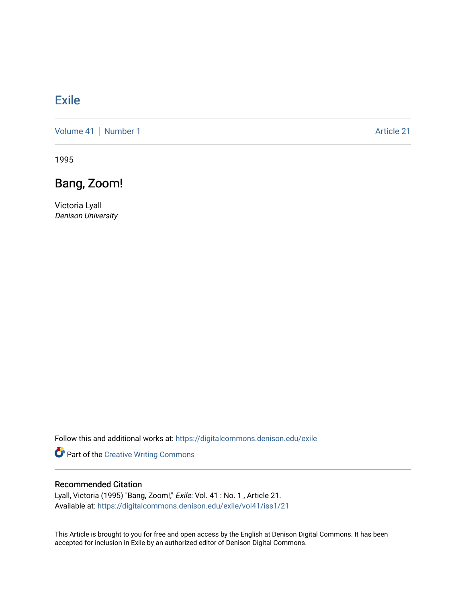## [Exile](https://digitalcommons.denison.edu/exile)

[Volume 41](https://digitalcommons.denison.edu/exile/vol41) | [Number 1](https://digitalcommons.denison.edu/exile/vol41/iss1) Article 21

1995

## Bang, Zoom!

Victoria Lyall Denison University

Follow this and additional works at: [https://digitalcommons.denison.edu/exile](https://digitalcommons.denison.edu/exile?utm_source=digitalcommons.denison.edu%2Fexile%2Fvol41%2Fiss1%2F21&utm_medium=PDF&utm_campaign=PDFCoverPages) 

Part of the [Creative Writing Commons](http://network.bepress.com/hgg/discipline/574?utm_source=digitalcommons.denison.edu%2Fexile%2Fvol41%2Fiss1%2F21&utm_medium=PDF&utm_campaign=PDFCoverPages) 

## Recommended Citation

Lyall, Victoria (1995) "Bang, Zoom!," Exile: Vol. 41 : No. 1 , Article 21. Available at: [https://digitalcommons.denison.edu/exile/vol41/iss1/21](https://digitalcommons.denison.edu/exile/vol41/iss1/21?utm_source=digitalcommons.denison.edu%2Fexile%2Fvol41%2Fiss1%2F21&utm_medium=PDF&utm_campaign=PDFCoverPages)

This Article is brought to you for free and open access by the English at Denison Digital Commons. It has been accepted for inclusion in Exile by an authorized editor of Denison Digital Commons.